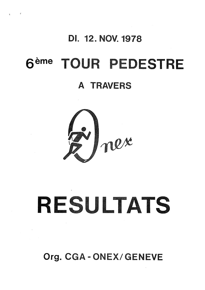## DI. 12. NOV. 1978

 $\mathfrak{g}^{\pm}$  ,  $\mathfrak{g}^{\pm}$  ,  $\mathfrak{g}^{\pm}$ 

## TOUR PEDESTRE 6<sup>eme</sup>

## A TRAVERS



# RESULTATS

Org. CGA-ONEX/GENEVE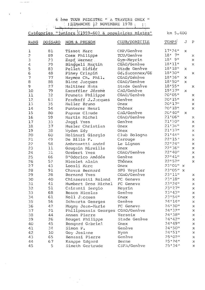6 ème TOUR PEDESTRE " A TRAVERS ONEX "<br>
1 DIMANCHE 12 NOVEMBRE 1978

للسمين والأولى

 $\sim$ 

 $\bar{\tau}$ 

|                |         | Catégories "juniors ((1959-60) & populaires mixtes" |                 | km 5.400   |              |                           |
|----------------|---------|-----------------------------------------------------|-----------------|------------|--------------|---------------------------|
| RANG           | DOSSARD | NOM & PRENOM                                        | CLUB/DOMICILE   | TEMPS:     | J            | $\mathbf P$               |
| ı              | 81      | Tissot Marc                                         | CHP/Genève      | 17'24''    | x            |                           |
| $\overline{c}$ | 89      | Coex Philippe                                       | TCU/Genève      | 7"<br>18'  |              | Х                         |
| 3              | 23      | Zapf Werner                                         | Gym-Meyrin      | 9"<br>18'  |              | $\mathbf{x}$              |
| 4              | 29      | Binggeli Martin                                     | CGAO/Genève     | 18'11"     |              | $\mathbf x$               |
| 5              | 83      | Pellet Didier                                       | Stade Genève    | 18'18''    | x            |                           |
| 6              | 48      | Piney Crispin                                       | Gd. Saconnex/GE | 18'30"     |              | $\mathbf x$               |
| 7              | 77      | Haymoz Ch. Phil.                                    | CGAO/Genève     | 18'36"     | x            |                           |
| 8              | 88      | Blanc Jacques                                       | CGAO/Genève     | 18'50"     | $\mathbf x$  |                           |
| 9              | 27      | Haltiner Hans                                       | Stade Genève    | 18'55"     |              | x                         |
| 10             | 79      | Excoffier Jérome                                    | CAG/Gehève      | 19:37"     | X.           |                           |
| 11             | 32      | Pruneta Philippe                                    | CGAO/Genève     | 20'05"     |              | x                         |
| 12             | 63      | Fradkoff J.Jacques                                  | Genève          | 20!15"     |              | $\mathbf x$               |
| 13             | 35      | Muller Bruno                                        | Onex            | 20'17"     |              | $\pmb{\times}$            |
| 14             | 54      | Punterer Henri                                      | Thônex          | 20'18''    |              | $\boldsymbol{\mathsf{x}}$ |
| 15             | 80      |                                                     | CAG/Genève      | 201401     | x.           |                           |
| 16             | 59      | Papaux Claude<br>Martin Michel                      | CGAO/Genève     | 21'06"     |              | Х                         |
| 17             | 33      |                                                     | Genève          | 21'20"     |              | $\mathbf x$               |
| 18             | 37      | Jaggi Yves<br>Husler Christian                      |                 | 21'36"     |              | $\mathsf X$               |
|                |         |                                                     | Onex            | 21!37"     |              |                           |
| 19             | 38      | Wyden Edy                                           | Onex            | 21'44''    |              | X                         |
| 20             | 60      | Molinari Giorgio                                    | Club Bologna    | 22'15''    |              | $\mathsf X$               |
| 21             | 49      | De Bilio F.                                         | Carouge         | $22*24"$   |              | $\mathsf x$               |
| 22             | 58      | Ambrosetti André                                    | Le Lignon       |            |              | $\mathbf x$               |
| 23             | 11      | Gaugain Mireille                                    | Onex            | 22'36"     |              | $\mathsf x$               |
| 24             | 31      | Grebert Yves                                        | CGAO/Genève     | 22'40"     |              | $\mathbf x$               |
| 25             | 66      | D'Odorico Amédée                                    | Genève          | 22'41''    |              | $\mathbf x$               |
| 26             | 52      | Nicolet Alain                                       | Thônex          | 22'52"     |              | $\mathbf x$               |
| 27             | 43      | Loosli Marc                                         | Onex            | $23'01"$ x |              |                           |
| 28             | 91      | Chavaz Bernard                                      | SFG Veyrier     | 23'05"     | $\mathbf{x}$ |                           |
| 29             | 28      | Bornand Yves                                        | CGAO/Genève     | 23'11"     |              | $\mathbf x$               |
| 30             | 40      | Chiaserotti Roland                                  | FC Geneva       | 23'18"     |              | $\mathbf x$               |
| 31             | 41      | Humbert Droz Michel                                 | FC Geneva       | 23'24"     |              | x                         |
| 32             | 51      | Cairanti Sergio                                     | Meyrin          | 23127"     |              | $\mathbf x$               |
| 33             | 68      | Bosco Nicolas                                       | Genève          | 23'43''    |              | $\mathbf x$               |
| 34             | 61      | Noll Jacques                                        | Cnex            | 23154"     |              | x                         |
| 35             | 56      | Schwartz Georges                                    | Genève          | 24'14"     |              | X                         |
| 36             | 42      | Mugny Jean-Marie                                    | FC Geneva       | 2413011    |              | x                         |
| 37             | 21      | Philipoussis Georges CGAO/Genève                    |                 | 24'32''    |              | x                         |
| 38             | 44      | Annen Pierre                                        | Versoix         | 24'38"     |              | X                         |
| 39             | 26      | Rouget Philippe                                     | Stade Genève    | 24'42''    |              | $\mathbf x$               |
| 4 <sub>O</sub> | 45      | Bongard Gabriel                                     | Onex            | 24'49"     |              | x                         |
| 41             | 34      | Simon P.                                            | Genève          | 24'50"     |              | X                         |
| 42             | 10      | Goy Josiane                                         | Nyon            | 24:51"     |              | X                         |
| 43             | 65      | Benassi Pierre                                      | Genève          | 25'02"     |              | X                         |
| 44             | 67      | Kanppe Edgard                                       | Berne           | 25124"     |              | X                         |
| 45             | 5       | Simeth Gertrude                                     | CSFA/Genève     | 25'34"     |              | $\mathbf x$               |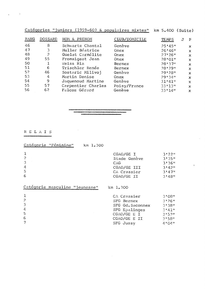| Catégories "juniors (1959-60) & populaires mixtes" km 5.400 (Suite) |  |  |  |
|---------------------------------------------------------------------|--|--|--|
|                                                                     |  |  |  |

| RANG | <b>DOSSARD</b> | NOM & PRENOM       | CLUB/DOMICILE | TEMPS   | $\mathbf J$ | $\mathbf{P}$ |
|------|----------------|--------------------|---------------|---------|-------------|--------------|
| 46   | 8              | Schwartz Chantal   | Genève        | 25'45"  |             | $\mathbf x$  |
| 47   | 3              | Muller Béatrice    | <b>Onex</b>   | 26'46'' |             | $\mathbf{x}$ |
| 48   | 2              | Guelat Carmélite   | Onex          | 27:26"  |             | $\mathbf{x}$ |
| 49   | 55             | Fromaigeat Jean    | Onex          | 28'01"  |             | $\mathbf{x}$ |
| 50   |                | Weiss Ria          | Bernex        | 28'37"  |             | $\mathbf x$  |
| 51   | 6              | Trischler Renée    | Bernex        | 28!29"  |             | $\mathbf{x}$ |
| 52   | 46             | Sostaric Milivoj   | Genève        | 29:28"  |             | $\mathbf x$  |
| 53   | 4              | Martin Denise      | Onex          | 29!34"  |             | $\mathbf{x}$ |
| 54   | 9              | Jaquenoud Martine  | Genève        | 31'41"  |             | $\mathbf x$  |
| 55   | 57             | Carpentier Charles | Poisy/France  | 33'13'' |             | $\mathbf x$  |
| 56   | 62.            | Falcoz Gérard      | Genève        | 33'14'' |             | $\mathbf x$  |

 $\sim 10$ 

 $\sim 0.1$ 

R E LA I S

| Catégorie "Féminine"<br>km 1.300 |                  |        |
|----------------------------------|------------------|--------|
|                                  | CGAO/GE I        | 3!22"  |
|                                  | Stade Genève     | 3!35"  |
|                                  | CAG              | 3'36"  |
| 4                                | CGAO/GE III      | 3'42'' |
| 5                                | CA Crassier      | 3'47'' |
| 6                                | CGAO/GE II       | 3'48'' |
| Catégorie masculine "jeunesse"   | km 1.300         |        |
|                                  | CA Crassier      | 3'08"  |
|                                  | SFG Bernex       | 3!26"  |
| 3                                | SFG Gd. Saconnex | 3.1380 |

 $\label{eq:2.1} \frac{1}{\sqrt{2}}\int_{\mathbb{R}^3}\frac{1}{\sqrt{2}}\left(\frac{1}{\sqrt{2}}\right)^2\frac{1}{\sqrt{2}}\left(\frac{1}{\sqrt{2}}\right)^2\frac{1}{\sqrt{2}}\left(\frac{1}{\sqrt{2}}\right)^2\frac{1}{\sqrt{2}}\left(\frac{1}{\sqrt{2}}\right)^2.$ 

| SFG Gd. Saconnex | 3138# |
|------------------|-------|
| SFG Epalinges    | 3!41" |
| CGAO/GE E I      | スキちつせ |
| CGAO/GE E II     | 3158# |
| SFG Jussy        | 4!04" |
|                  |       |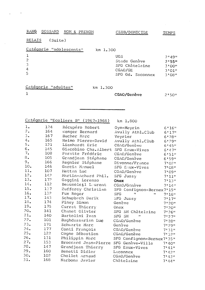| RANG           | DOSSARD | NOM & PRENOM            | CLUB/DOMICILE    | TEMPS    |
|----------------|---------|-------------------------|------------------|----------|
| RELAIS         | (suite) |                         |                  |          |
|                |         | Catégorie "adolescents" | km 1.300         |          |
| 1              |         |                         | UGS              | $2,49$ " |
| $\overline{c}$ |         |                         | Stade Genève     | 2:55"    |
| $\mathfrak{Z}$ |         |                         | SFG Châtelaine   | 3'00''   |
| 4              |         |                         | CGAO/GE          | $3'$ Ol" |
| 5              |         |                         | SFG Gd. Saconnex | 3'08''   |
|                |         |                         |                  |          |
|                |         |                         |                  |          |

Catégorie "adultes" km 1.300

 $\mathbf{1}$ 

 $\sqrt{\frac{1}{2} \left( \frac{1}{2} \right)^2 + \left( \frac{1}{2} \right)^2}$ 

CGAO/Genève 2'50"

Catégorie "Ecoliers B" (1967-1968) – km 1.800

| ı.     | 124 | Récupéro Robert       | Gym-Neyrin                 | 6!16"    |
|--------|-----|-----------------------|----------------------------|----------|
| 2.     | 164 | Wenger Bernard        | Avully Athl.Club           | 6!17"    |
| 3.     | 167 | Bucher Marc           | Veyrier                    | 6!28"    |
| $4$ .  | 165 | Heimo Pierre-David    | Avully Athl.Club           | 6!29"    |
| 5.     | 121 | Lienhardt Eric        | CGAO/Genève                | 6!45"    |
| 6.     | 145 | Giacobino Chs. Albert | SFG Eaux-Vives             | 6!47"    |
| 7.     | 108 | Paratte Frédéric      | CGAO/Genève                | 6!51"    |
| 8.     | 105 | Grandjean Stéphane    | CGAO/Genève                | 6!59"    |
| 9.     | 166 | Regnier Stéphane      | Divonne/France             | $7*02"$  |
| 10.    | 146 | Garcia Manuel         | SFG Esux-Vives             | 7'08''   |
| 11.    | 107 | Mettan Luc            | CGAO/Genève                | 7'09"    |
| 12.    | 142 | Martin-Achard Phil.   | SFG Jussy                  | 7'11''   |
| 13.    | 172 | Gaggini Lorenzo       | Onex                       | 7!13"    |
| 14.    | 112 | Beausoleil Laurent    | CGAO/Genève                | 7.14     |
| 15.    | 137 | Zufferey Christian    | SFG Confignon-Bernex 7'15" |          |
| 16.    | 132 | Fux Roger             | <b>SFG</b><br>Ħ<br>Ħ       | 7'16"    |
| 17.    | 143 | Schupbach Derik       | SFG Jussy                  | $7.17$ " |
| 18.    | 174 | Piney Simon           | Genève                     | 7:20"    |
| 19.    | 175 | Currat Thierry        | Onex                       | $7*20"$  |
| 20.    | 141 | Chanet Olivier        | SFG SH Châtelaine          | $7*26"$  |
| 21.    | 140 | Bartolini Ivan        | SFG SH<br>11               | 7.271    |
| $22 -$ | 101 | Baghdassarian Luc     | CGAO/Genève                | 7:28"    |
| 23.    | 171 | Schwartz Marc         | Genève                     | 7!29"    |
| 24.    | 177 | Conti François        | CGAO/Genève                | 7:31"    |
| 25.    | 122 | Cogne Sébastien       | CGAO/Genève                | 7!32"    |
| 26.    | 131 | Philippin Marc        | SFG Confignon-Bernex7'35"  |          |
| 27.    | 153 | Broccard Jean-Pierre  | SFG Genève-Ville           | 7'40''   |
| 28.    | 147 | Grandjean Thierry     | SFG Eaux-Vives             | 7:41"    |
| 29.    | 160 | Benetti Didier        | Laconnex                   | $7*42"$  |
| 30.    | 102 | Chollet Arnaud        | CGAO/Genève                | $7*43"$  |
| 31.    | 168 | Narbona Javier        | Châtelaine                 | $7.44$ " |
|        |     |                       |                            |          |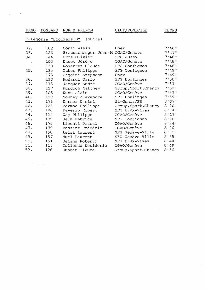#### RANG DOSSARD NOM & PRENOM

CLUB/DOMICILE

3roup.Sport.Chancy 8'56"

CGAO/Genève SFG E ux-Vives SFG Genève-Ville SFG Genève-Ville

CGAO/Genève CGAO/Genève

#### TEMPS

 $8 * 49"$  $8'44"$ 8'35"  $8 * 26$ <sup>n</sup><br> $8 * 30$ <sup>n</sup> 8'24"  $8$   $^{\circ}$  20"  $8$   $17$ <sup>n</sup>  $8'14''$ 

 $\mathcal{A}^{\mathcal{A}}$ 

 $\sim$ 

|     |     | Catégorie "Ecoliers B"<br>(Suite) |                      |        |
|-----|-----|-----------------------------------|----------------------|--------|
| 32. | 162 | Conti Alain                       | Onex                 | 7.46"  |
| 33. | 123 | Braunschweger Jean-M CGAO/Genève  |                      | 7:47"  |
| 34  | 144 | Gros Olivier                      | SFG Jussy            | 7'48'' |
|     | 103 | Dauet Jérôme                      | CGAO/Genève          | 7:48"  |
|     | 138 | Noverraz Claude                   | SFG Confignon        | 7.48"  |
| 35. | 135 | Zuber Philippe                    | SFG Confignon        | 7:49"  |
|     | 173 | Gaggini Stephano                  | Onex                 | 7149"  |
| 36. | 130 | Medardi Dario                     | SFG Epalinges        | 7:50"  |
| 37. | 116 | Jacquet André                     | CGAO/Genève          | 7:51"  |
| 38. | 127 | Murdoch Matthew                   | Group.Sport.Chancy   | 7:52"  |
| 39. | 106 | Kunz Alain                        | CGAO/Genève          | 7:53"  |
| 40. | 129 | Sonney Alexandre                  | SFG Epalinges        | 7:59"  |
| 41. | 176 | Karner D niel                     | St-Genis/FR          | 8'07'' |
| 42. | 125 | Mermod Philippe                   | Group. Sport. Chancy | 8'10'' |
| 43. | 148 | Daverio Robert                    | SFG Eaux-Vives       | 8'14"  |
| 44. | 114 | Gay Philippe                      | CGAO/Genève          | 8'17'' |
| 45. | 139 | Jelk Fabrice                      | SFG Confignon        | 8'20"  |

Junger Claude

 $\label{eq:2.1} \frac{1}{\sqrt{2}}\left(\frac{1}{\sqrt{2}}\right)^{2} \frac{1}{\sqrt{2}}\left(\frac{1}{\sqrt{2}}\right)^{2} \frac{1}{\sqrt{2}}\left(\frac{1}{\sqrt{2}}\right)^{2} \frac{1}{\sqrt{2}}\left(\frac{1}{\sqrt{2}}\right)^{2} \frac{1}{\sqrt{2}}\left(\frac{1}{\sqrt{2}}\right)^{2} \frac{1}{\sqrt{2}}\left(\frac{1}{\sqrt{2}}\right)^{2} \frac{1}{\sqrt{2}}\left(\frac{1}{\sqrt{2}}\right)^{2} \frac{1}{\sqrt{2}}\left(\frac{$ 

 $50.51$ 49.  $48.$  $47.$  $46.$ 

 $52 -$ 

 $\label{eq:1} \mathbf{E}^{(1)} = \mathbf{E}^{(1)} \mathbf{E}^{(1)}$ 

Deiana Roberto Nuel Laurent Leisi Laurent Bossart Frédéric Liechti Pascal

Tollerdo Desiderio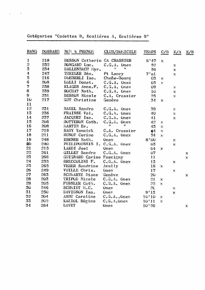Catégories "Cadettes B, Ecolières A, Ecolières B"

 $\label{eq:2.1} \begin{split} \mathcal{L}_{\text{max}}(\mathbf{r}) = \frac{1}{2} \mathcal{L}_{\text{max}}(\mathbf{r}) \,, \end{split}$ 

| RANG                    | <b>DOSSARD</b> | NCN & PRENON                | CLUB/DOMICILE              | TEMPS          | C/B                | E/A                       | E/B          |
|-------------------------|----------------|-----------------------------|----------------------------|----------------|--------------------|---------------------------|--------------|
| 1                       | 218            | BESSON Catherin CA CRASSIER |                            | 6'47           | $\mathbf X$        |                           |              |
| 2                       | 232            | BONGARD Luc.                | $C.G.A.$ Onex              | 52             |                    | x                         |              |
| $\overline{\mathbf{3}}$ | 234            | DALLENBACH Myr.             | Ħ<br>Ħ                     | 56             |                    | $\pmb{\chi}$              |              |
| 4                       | 247            | THEILER Béa.                | Pt Lancy                   | 7'01           |                    | $\mathbf x$               |              |
| 5                       | 216            | DOEBERLI Isa.               | Chene-Bourg                | 0 <sub>3</sub> | X                  |                           |              |
| $\mathbf 6$             | 209            | LOLLI Donat.                | $C.G.A.$ Onex              | 05             | $\mathbf{x}$       |                           |              |
| 7                       | 238            | KLAGES Anne.F.              | C.G.A. Onex                | 09             |                    | X                         |              |
| $\bf 8$                 | 239            | ROCHAT Nath.                | $C$ .G.A. Onex             | 10             |                    | X                         |              |
| 9                       | 251            | <b>BESSON Nicole</b>        | C.A. Crassier              | 25             |                    | X                         |              |
| 10                      | 217            | GUT Christine               | Genève                     | 34             | $\mathbf{x}$       |                           |              |
| 11                      |                |                             |                            |                |                    |                           |              |
| 12                      | 231            | <b>BADEL Sandra</b>         | C.G.A. Onex                | 39             |                    | $\mathcal{N}$             |              |
| 13                      | 236            | FRAISSE Val.                | $C \cdot G \cdot A$ . Onex | 40             |                    | ${\bf X}$                 |              |
| 14                      | 237            | JACQUET Isa.                | $C.G.A.$ Onex              | 41             |                    | X                         |              |
| 15                      | 206            | BOTTERON Cath.              | C.G.A. Onex                | 42             | $\mathbf{X}$       |                           |              |
| 16                      | 208            | MARTIN Ev.                  | 11<br>Ħ                    | 43             | $\mathbf{x}$       |                           |              |
| 17                      | 219            | SAHY Yannick                | C.A. Crassier              | 44             | $\mathbf x$        |                           |              |
| 18                      | 211            | HUNOT Corine                | $C.G.A.$ Onex              | 54             | $\bar{\mathbf{x}}$ |                           |              |
| 19                      | 248            | EBENER Nath.                | Onex                       | 8'00           |                    | $\mathbf x$               |              |
| 20                      | 240            | PHILIPOUSSIS I. C.G.A. Onex |                            | 0 <sub>3</sub> |                    | $\mathbf{x}$              |              |
| 21                      | 215            | LARDI Joel                  | Onex                       | 04             | x                  |                           |              |
| 22                      | 261            | GILLET Sandra               | $C$ .G.A. Onex             | 07             |                    |                           | x            |
| 23                      | 266            | GUIGNARD Carine Faucigny    |                            | 11             |                    |                           | $\mathbf{x}$ |
| 24                      | 235            | BRECCOLINI F.               | $C.G.A.$ Onex              | 13             |                    | x                         |              |
| 25                      | 265            | <b>VEBER Sandrine</b>       | Avully                     | 16             | $\mathbf x$        |                           |              |
| 26                      | 249            | VUILLE Chris.               | Onex                       | 17             |                    | X                         |              |
| 27                      | 263            | <b>SCHWARTZ Diane</b>       | Genève                     | 20             |                    |                           | X            |
| 28                      | 203            | TRIPOD Nicole               | C.G.A. Onex                | 21             | $\mathbf x$        |                           |              |
| 29                      | 205            | FUSSLER Cath.               | C.G.A. Onex                | 22             | X                  |                           |              |
| 30                      | 246            | SCHMIDT M.C.                | Onex                       | 2C             |                    | x                         |              |
| 31                      | 250            | DAVIDSON Isa.               | Onex                       | 9'15           |                    | $\boldsymbol{\mathsf{X}}$ |              |
| 32                      | 204            | ABBT Caroline               | $C.G.A$ Onex               | 10'10          | $\mathbf{X}$       |                           |              |
| 33                      | 202            | KAZIOL Régine               | $C.G.A.$ Onex              | 10'11          | $\mathbf{x}$       |                           |              |
| 34                      | 264            | <b>DAVET</b>                | Onex                       | 10'26          |                    |                           | $\mathbf x$  |
|                         |                |                             |                            |                |                    |                           |              |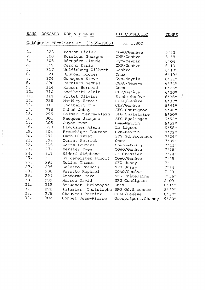| <b>RANG</b>    | DOSSARD                | NOM & PRENOM           | CLUB/DOMICILE        | <b>TEMPS</b>         |                   |
|----------------|------------------------|------------------------|----------------------|----------------------|-------------------|
|                | Catégorie "Ecoliers A" | $(1965 - 1966)$        | km 1.800             |                      |                   |
| $\mathbf{l}$ . | 323                    | Bosson Didier          | CGAO/Genève          | 5:53"                |                   |
| 2.             | 308                    | Rossigue Georges       | CHP/Genève           | 5!58"                |                   |
| 3.             | 306                    | Récupéro Claude        | Gym-Meyrin           | 6'04"                |                   |
| 4.             | 309                    | Ceroni Dario           | CHP/Genève           | 6!13"                |                   |
| 5.             | 317                    | Wolfisberg Gilbert     | Genève               | 6!17"                |                   |
| 6.             | 321                    | Brugger Didier         | Onex                 | 6!19"                |                   |
| 7.             | 304                    | Gueugnon Steve         | Gym-Meyrin           | 6!21"                |                   |
| 8.             | 290                    | Perriard Samuel        | CGAO/Genève          | 6!24"                |                   |
| 9.             | 314                    | Kaeser Bernard         | Onex                 | 6!25"                |                   |
| 10.            | 310                    | Sociberti Alain        | CHP/Genève           | 6'30"                |                   |
| 11.            | 312                    | Pittet Olivier         | Stade Genève         | 6!36"                | l                 |
| 12.            | 286                    | Matthey Benoit         | CGAO/Genève          | 6!37"                | $\left\{ \right.$ |
| 13.            | 311                    | Sociberti Guy          | CHP/Genève           | 6!41"                |                   |
| 14.            | 298                    | Pahud Johny            | SFG Confignon        | 6!48"                |                   |
| 15.            | 296                    | Balmer Pierre-Alain    | SFG Châtelaine       | 6!50"                |                   |
| 16.            | 301                    | Fauquex Jacques        | SFG Epalinges        | 6!52"                |                   |
| 17.            | 305                    | Guyot Yvan             | Gym-Meyrin           | 6!53"                |                   |
| 18.            | 320                    | Fluckiger Alain        | Le Lignon            | 6!58"                |                   |
| 19.            | 303                    | Frauchiger Laurent     | Gym-Meyrin           | 7'02''               |                   |
| 20.            | 291                    | Emch Olivier           | SFG Gd. Saconnex     | $7.04$ <sup>11</sup> |                   |
| 21.            | 322                    | Currat Patrick         | Onex                 | 7:05"                |                   |
| 22.            | 316                    | Goetz Laurent          | Chêne-Bourg          | 7.11"                |                   |
| 23.            | 272                    | Bersier Yves           | CGAO/Genève          | 7:16"                |                   |
| 24.            | 319                    | Sideri Stéphane        | CA Crassier          | $7.24$ "             |                   |
| 25.            | 313                    | Gildemeister Rudolf    | CGAO/Genève          | $7*25"$              |                   |
| 26.            | 293                    | Muller Thomas          | SFG Jussy            | $7.31$ "             |                   |
| 27.            | 295                    | Galetto Francis        | SFG Jussy            | 7:34"                |                   |
| 28.            | 288                    | Paratte Raphael        | CGAO/Genève          | 7:39"                |                   |
| 29.            | 297                    | Lendormi Marc          | SFG Châtelaine       | $7*56"$              |                   |
| 30.            | 299                    | Merren David           | SFG Confignon        | 8'09''               |                   |
| 31.            | 318                    | Besuchet Christophe    | Onex                 | 8!14"                |                   |
| 32.            | 292                    | Iglesias<br>Christophe | SFG Gd. Saconnex     | 8!22"                |                   |
| 33.            | 276                    | Chauveau Patrick       | CGAO/Genève          | 8!37"                |                   |
| 34.            | 302                    | Gonnet Jean-Pierre     | Group. Sport. Chancy | 9:20"                |                   |

 $\label{eq:2.1} \mathbf{v}^{(1)} = \mathbf{v}^{(1)} + \mathbf{v}^{(2)} + \mathbf{v}^{(3)} + \mathbf{v}^{(4)}$ 

 $\label{eq:1} \frac{1}{2} \int_{\mathbb{R}^3} \frac{1}{2} \int_{\mathbb{R}^3} \frac{1}{2} \int_{\mathbb{R}^3} \frac{1}{2} \int_{\mathbb{R}^3} \frac{1}{2} \int_{\mathbb{R}^3} \frac{1}{2} \int_{\mathbb{R}^3} \frac{1}{2} \int_{\mathbb{R}^3} \frac{1}{2} \int_{\mathbb{R}^3} \frac{1}{2} \int_{\mathbb{R}^3} \frac{1}{2} \int_{\mathbb{R}^3} \frac{1}{2} \int_{\mathbb{R}^3} \frac{1$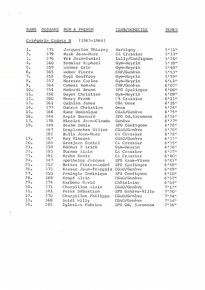#### RANG DOSSARD NOM & PRENOM CLUB/DOMICILE TEMPS

 $\mathbf{v} = \left\{ \begin{array}{ll} 0 & \mathbf{v} \in \mathbb{R}^d, \ \mathbf{v} \in \mathbb{R}^d, \ \mathbf{v} \in \mathbb{R}^d, \ \mathbf{v} \in \mathbb{R}^d, \ \mathbf{v} \in \mathbb{R}^d, \ \mathbf{v} \in \mathbb{R}^d, \ \mathbf{v} \in \mathbb{R}^d, \ \mathbf{v} \in \mathbb{R}^d, \ \mathbf{v} \in \mathbb{R}^d, \ \mathbf{v} \in \mathbb{R}^d, \ \mathbf{v} \in \mathbb{R}^d, \ \$ 

| Catégorie Cadets B |  | (1963- |
|--------------------|--|--------|
|                    |  |        |

 $\sim 10^{-11}$ 

 $3 - 1964$ 

| $\mathbf{1}_{\bullet}$ | 375 | Jacquerioz Thierry   | Martigny         | 5!31"             |
|------------------------|-----|----------------------|------------------|-------------------|
| 2.                     | 379 | Haab Jean-Marc       | CA Crassier      | 5!33"             |
| 3.                     | 376 | Vez Jean-Daniel      | Lully/Confignon  | 5'34"             |
| 4.                     | 360 | Droxler Raphael      | Gym-Meyrin       | 5!38"             |
| 5.                     | 359 | Wanner Eric          | Gym-Meyrin       | $5*48"$           |
| 6.                     | 365 | Weber Pierre         | CHP/Genève       | 5:53"             |
| 7.                     | 355 | Gygi Geoffroy        | Gym-Meyrin       | 5!59"             |
| $\mathbf 8$ .          | 357 | Herrero Carlos       | Gym-Meyrin       | 6!CL              |
| 9.                     | 364 | Camesi Romano        | CHP/Genève       | 6'03''            |
| 10.                    | 354 | Medardi Bruno        | SFG Epalinges    | 6'06"             |
| 11.                    | 356 | Guyot Christian      | Gym-Meyrin       | 6'09''            |
| 12.                    | 380 | Henry Frank          | (A Crassier      | 6!13"             |
| 13.                    | 361 | Quinlan James        | CGA Onex         | 6!16"             |
| 14.                    | 377 | Ducret Christian     | Onex             | 6!24"             |
| 15.                    | 366 | Kunz Dominique       | CGAO/Genève      | 6!25"             |
| 16.                    | 344 | Rapin Bernard        | SFG Gd. Saconnex | 6!26"             |
| 17.                    | 378 | Nicolet Jean-Claude  | Genève           | 6!27"             |
| 18.                    | 349 | Baehm Denis          | SFG Confignon    | 6!28"             |
|                        | 367 | Desplanches Gilles   | CGAO/Genève      | 6!28"             |
|                        | 382 | Bally Jean-Marc      | CA Crassier      | 6!28"             |
| 19.                    | 362 | Rey Vincent          | CGAO/Genève      | 6!33"             |
| 20.                    | 384 | Grosjean Daniel      | CA Crassier      | 6!35"             |
| 21.                    | 358 | Rochat P trick       | Gym-Meyrin       | 6!36"             |
| 22.                    | 383 | Turner Alain         | CA Crassier      | 61371             |
| 23.                    | 381 | Krebs Denis          | CA Crassier      | $6*40*$           |
| 24.                    | 347 | Apotheloz Jacques    | SFG Eaux-Vives   | 6!45"             |
| 25.                    | 352 | Bettex Pierre-André  | SFG Epalinges    | $6.48$ "          |
| 26.                    | 373 | Kaeser Jean-François | CGAO/Genève      | 6!49"             |
| 27.                    | 350 | Pamingle Dominique   | SFG Confignon    | 6!50"             |
| 28.                    | 369 | Kropf Alain          | CGAO/Genève      | 6!52"             |
| 29.                    | 374 | Narbona David        | Châtelaine       | 6:54"             |
| 30.                    | 371 | Charpilloz Alain     | CGAO/Genève      | 7.12 <sub>0</sub> |
| 31.                    | 341 | Perez Sébastien      | SFG Genève-Ville | $7*20"$           |
| 32.                    | 370 | Charpilloz Philippe  | CGAO/Genève      | 7:24"             |
| 33.                    | 368 | Seidl Willy          | CGAO/Genève      | 7:34"             |
| 34.                    | 345 | Iglesias Fabrice     | SFG Gd. Saconnex | 7:38"             |

 $\begin{array}{c} \mathcal{L}_{\mathcal{A}} \\ \mathcal{L}_{\mathcal{A}} \end{array}$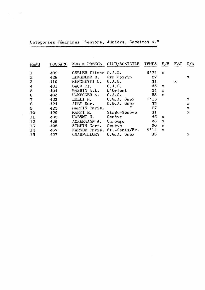Catégories Féminines "Seniors, Juniors, Cadettes A."

 $\label{eq:2.1} \frac{1}{\sqrt{2\pi}}\left(\frac{1}{\sqrt{2\pi}}\right)^{1/2}\left(\frac{1}{\sqrt{2\pi}}\right)^{1/2}\left(\frac{1}{\sqrt{2\pi}}\right)^{1/2}\left(\frac{1}{\sqrt{2\pi}}\right)^{1/2}\left(\frac{1}{\sqrt{2\pi}}\right)^{1/2}\left(\frac{1}{\sqrt{2\pi}}\right)^{1/2}\left(\frac{1}{\sqrt{2\pi}}\right)^{1/2}\left(\frac{1}{\sqrt{2\pi}}\right)^{1/2}\left(\frac{1}{\sqrt{2\pi}}\right)^{1/2}\left(\frac{1}{\sqrt{$ 

| RANG                  | <b>DOSSARD</b> | NOM & PRENOM         | CLUB/DOMICILE                            | TEMPS | F/S                 | F/J | C/A |
|-----------------------|----------------|----------------------|------------------------------------------|-------|---------------------|-----|-----|
| 1                     | 402            | GUBLER Eliane C.A.G. |                                          | 6'24  | $\boldsymbol{\chi}$ |     |     |
| $\overline{2}$        | 428            | LENGELER R.          | Gym Meyrin                               | 27    |                     |     | Х   |
| 3                     | 416            | MENGHETTI D.         | $C*AoGo$                                 | 31    |                     | X   |     |
| 4                     | 401            | BACH C1.             | C.A.G.                                   | 45    | ×                   |     |     |
| $\overline{5}$        | 404            | BASSIN A.L.          | L'Orient                                 | 54    | $\mathbf{x}$        |     |     |
| 6                     | 403            | HONEGGER A.          | C.A.G.                                   | 58    | $\mathbf{x}$        |     |     |
| $\overline{7}$        | 423            | LOLLI M.             | $C.G.A.$ Onex                            | 7'15  |                     |     | x   |
| 8                     | 424            | AEBY Dor.            | $C_{\bullet}G_{\bullet}A_{\bullet}$ Onex | 23    |                     |     | X   |
| $\boldsymbol{\Theta}$ | 425            | MARTIN Chris.        | Ħ<br>11                                  | 27    |                     |     | X   |
| 10                    | 429            | MARTI E.             | Stade-Genève                             | 31    |                     |     | x   |
| 11                    | 405            | HAENNI U.            | Genève                                   | 45    | $\mathbf x$         |     |     |
| 12                    | 406            | ACKERMANN J.         | Carouge                                  | 46    | $\mathbf x$         |     |     |
| 13                    | 408            | SIMETH Gert.         | Genève                                   | 50    | $\mathbf x$         |     |     |
| 14                    | 407            |                      | KARNER Chris. St.-Genis/Fr.              | 9'14  | X                   |     |     |
| 15                    | 427            | <b>CHARPILLOZY</b>   | $C.G.A.$ Onex                            | 33    |                     |     | Х   |

 $\label{eq:2.1} \mathcal{L}(\mathcal{L}^{\text{max}}_{\text{max}}(\mathcal{L}^{\text{max}}_{\text{max}}(\mathcal{L}^{\text{max}}_{\text{max}}(\mathcal{L}^{\text{max}}_{\text{max}})))$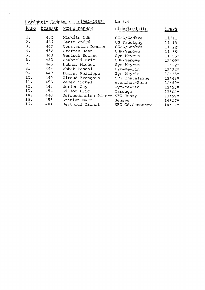| <b>RANG</b> | DOSSARD | NOM & PRENOM         | CLUB/DOMICILE            | TEMPS      |
|-------------|---------|----------------------|--------------------------|------------|
| 1.          | 450     | Hicklin Lut          | CGA0/Genève              | $11^{111}$ |
| 2.          | 457     | Lentz André          | US Faucigny              | 11'19''    |
| 3.          | 449     | Constantin Damien    | CGAO/Genève              | $11+220$   |
| 4.          | 452     | Steffen Jean         | CHP/Genève               | 11'38"     |
| 5.          | 443     | Gentsch Roland       | Gym-Meyrin               | 11!55"     |
| 6.          | 453     | Sauberli Eric        | CHP/Genève<br>$\epsilon$ | 12'09''    |
| 7.          | 446     | Hubner Michel        | Gym-Meyrin               | 12'22''    |
| 8.          | 444     | Abbet Pascal         | Gym-Meyrin               | 12'28"     |
| 9.          | 447     | Ducret Philippe      | Gym-Meyrin               | 12:35"     |
| 10.         | 442     | Giroud François      | SFG Châtelaine           | 12'18''    |
| 11.         | 456     | Zeder Michel         | Avanchet-Parc            | 12'49"     |
| 12.         | 445     | Werlen Guy           | Gym-Meyrin               | 12:55"     |
| 13.         | 454     | Gillot Eric          | Carouge                  | 13'04''    |
| 14.         | 448     | Defreudenrich Pierre | SFG Jussy                | 13:59"     |
| 15.         | 455     | Gremien Marc         | Genève                   | 14'07''    |
| 16.         | 441     | Berthoud Michel      | SFG Gd. Saconnex         | 14'12''    |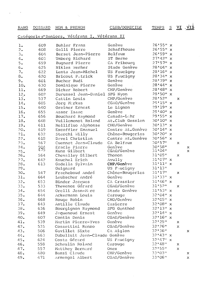$\label{eq:2.1} \mathbf{y}_{\mathbf{z}}(t) = \mathbf{y}_{\mathbf{z}}(t) + \mathbf{y}_{\mathbf{z}}(t) + \mathbf{y}_{\mathbf{z}}(t) + \mathbf{y}_{\mathbf{z}}(t)$ 

### Catégories"Seniors, Vétérans I, Vétérans II

 $\sim 2\sqrt{3}$ 

| $\mathbf{1}_{\bullet}$ | 609 | Buhler Franz                  | Genève           | $26'55''$ x                         |                           |              |
|------------------------|-----|-------------------------------|------------------|-------------------------------------|---------------------------|--------------|
| 2.                     | 608 | Galli Pierre                  | Schaffhouse      | $26'55''$ x                         |                           |              |
| 3.                     | 604 | Berset Jean-Pierre            | Belfaux          | $26*59"x$                           |                           |              |
| 4.                     | 603 | Umberg Richard                | ST Berne         | $27'42''$ x                         |                           |              |
| 5.                     | 659 | Bugnard Pierre                | CA Fribourg      | $27'57''$ x                         |                           |              |
| 6.                     | 625 | Nikles Werner                 | Stade Genève     | $28'04''$ x                         |                           |              |
| 7.                     | 622 | Lenta Jean-Michel             | US Faucigny      | $28'16''$ x                         |                           |              |
| 8.                     | 620 | Bricout Patrick               | US Faucigny      | $28'34''$ x                         |                           |              |
| 9.                     | 601 | Bucher Rudi                   | Genève           | 28:39"x                             |                           |              |
| 10.                    | 630 | Dominique Pierre              | Genève           | $28'44''$ x                         |                           |              |
| 11.                    | 669 | Dicker Robert                 | CHP/Genève       | $28'48''$ x                         |                           |              |
| 12.                    | 602 | Durussel Jean-Daniel SFG Nyon |                  | 28'50" x                            |                           |              |
| 13.                    | 537 | Cattin Louis                  | CHP/Genève       | 28'52"                              | $\mathbf x$               |              |
| 14.                    | 605 | Jorg Markus                   | CGAO/Genève      | $29'15''$ x                         |                           |              |
| 15.                    | 640 | Greiner Ernest                | Le Lignon        | $29'19''$ x                         |                           |              |
| 16.                    | 655 | Assor Isaac                   | Genève           | 29'40" x                            |                           |              |
| 17.                    | 656 | Bouchard Raymond              | Canada-Lahr      | 29'55" x                            |                           |              |
| 18.                    | 648 | Vuillemenot Roland            | At.Club Gessien  | 30'10"<br>$\boldsymbol{\mathsf{x}}$ |                           |              |
| 19.                    | 611 | Mellifluo Alphonse            | CHO/Genève       | $30'13''$ x                         |                           |              |
| 20.                    | 619 | Excoffier Emanuel             | Centre At.Genève | 30'14" x                            |                           |              |
| 21.                    | 632 | Sterchi Willy                 | Chêne-Bougeries  | 30'20" x                            |                           |              |
| 22.                    | 618 | Davel Christian               | Centre At.Genève | 30'56" x                            |                           |              |
| 23.                    | 567 | Cuennet Jean-Claude           | CA Belfaux       | $30*57"$                            | $\mathbf x$               |              |
| 24.                    |     | Eracle Pierre                 | Genève           | 30'58"                              |                           | $\mathsf{x}$ |
| 25.                    | 593 | Kunz Gilbert                  | CGAO/Genève      | 31'04"                              |                           | $\mathbf{x}$ |
| 26.                    | 564 | Chevalley Gilbert             | Thonon           | 31'05''                             | $\mathbf x$               |              |
| 27.                    | 642 | Knuchel Erich                 | Avully           | $31'07''$ x                         |                           |              |
| 28.                    | 613 | Gadella Sylvain               | CHP/Genève       | $31'11''$ x                         |                           |              |
| 29.                    |     | Guignard                      | US Faucigny      | 31'13''                             |                           |              |
| 30.                    | 547 | Fracheboud André              | Chêne-Bougeries  | 31'17''                             | $\mathbf x$               |              |
| 31.                    | 664 | Laubscher André               | Genève           | $31'33''$ x                         |                           |              |
| $32-$                  | 653 | Binder Jacques                | CA Crassier      | $31'46''$ x                         |                           |              |
| 33.                    | 533 | Thevenoz Gérard               | CGAO/Genève      | 31'52"                              | $\mathbf x$               |              |
| 34.                    | 654 | Orelli Jean-Marc              | Stade Genève     | 31!53" x                            |                           |              |
| 35.                    | 644 | Ackermann Louis               | Carouge          | $32'04'' \times$                    |                           |              |
| 36.                    | 668 | Rouge Robin                   | CHO/Genève       | $32'05''$ x                         |                           |              |
| 37.                    | 643 | Antille Claude                | Casierre         | $32'08''$ x                         |                           |              |
| 38.                    | 636 | Bourgignon Raymond            | SFG Genthod      | $32'13''$ x                         |                           |              |
| 39.                    | 649 | Jaquenoud Ernest              | Genève           | $32'14''$ x                         |                           |              |
| 40.                    | 607 | Contin Denis                  | CGAO/Genève      | $32'16''$ x                         |                           |              |
| 41.                    | 539 | Martin Pierre-Yves            | Genève           | 32'25''                             | x                         |              |
| 42.                    | 535 | Cossettini Renzo              | CGAO/Genève      | 32'26"                              | $\mathbf x$               |              |
| 43.                    | 506 | Gavillet Sixte                | CA Aiglon        | $32*36"$                            |                           | x            |
| 44.                    | 663 | Dubulluit Jean-Claude Genève  |                  | $32'43''$ x                         |                           |              |
| 45.                    | 624 | Costa Gérard                  | US Faucigny      | $32'47''$ x                         |                           |              |
| 46.                    | 558 | Schaulin Roland               | Carouge          | 32'48"                              | $\mathbf x$               |              |
| 47.                    | 557 | Matthey Bernard               | Onex             | 32!55"                              | $\boldsymbol{\mathsf{x}}$ |              |
| 48.                    | 480 | Bazzi Claude                  | CHP/Genève       | 33'03''                             |                           | x            |
| 49.                    | 471 | Armengol Albert               | CGAO/Genève      | 33'06''                             |                           | x            |
|                        |     |                               |                  |                                     |                           |              |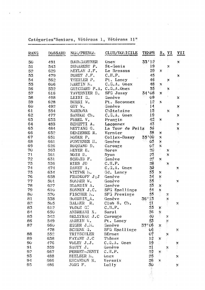Catégories"Seniors, Vétérans 1, Vétérans 11"

 $\langle \rangle$  ) is

 $\mathbf{A}$ 

| RANG | <b>DOSSARD</b> | NON/PRENON               | CLUB/DOMICILE      | <b>TEMPS</b>                                    |                                         | S. VI            | VII                       |
|------|----------------|--------------------------|--------------------|-------------------------------------------------|-----------------------------------------|------------------|---------------------------|
| 50   | 491            | <b>BAUMGARTNER</b>       | Onex               | 33'12                                           |                                         |                  | X                         |
| 51   | 543            | DUMAREST P.              | St-Genis           | 19                                              |                                         | X                |                           |
| 52   | 629            | MEYLAN J.F.              | Le Brassus         | 29                                              | $\mathbf x$                             |                  |                           |
| 53   | 479            | DORET J.F.               | $CeHePe$           | 45                                              |                                         |                  | $\pmb{\times}$            |
| 54   | 562            | THEILER P.               | Pt. Lancy          | $46\,$                                          |                                         | Ķ                |                           |
| 55   | 606            | MARTIN N.                | $C, G, A$ . Onex   | 48                                              | X                                       |                  |                           |
| 56   | 532            | GUICHARD P.A. C.G.A.Onex |                    | 55 <sub>1</sub>                                 |                                         |                  |                           |
| 57   | 616            | TAVERNIER D.             | SFG Jussy          | 34'08                                           | $\mathbf x$                             | $\sum_{i=1}^{N}$ |                           |
| 58   | 498            | LEISI G.                 | Genève             | 09                                              |                                         |                  | X                         |
| 59   | 628            | BURRI W.                 | Pt. Saconnex       | 12                                              | $\mathbf x$                             |                  | Ň.                        |
| 60   | 492            | GUT W.                   | Genève             | 14                                              |                                         |                  | $\mathbf x$               |
| 61   | 554            | <b>NARBONA</b>           | Châtelaine         | $\overline{15}$                                 |                                         | $\pmb{\chi}$     |                           |
| 62   | 477            | SANDOZ Ch.               | $C$ . G. A. Onex   |                                                 |                                         |                  | X                         |
| 63   | 635            | FOREL V.                 | Prangin            |                                                 | X                                       |                  | $\sim$                    |
| 64   | 483            | BENETTI A.               | Laconnex           | $\frac{1}{4}$<br>$\frac{9}{4}$<br>$\frac{2}{3}$ |                                         |                  | $\pmb{\times}$            |
| 65   | 484            | METTANG G.               | La Tour de Peilz   | 56                                              |                                         |                  |                           |
| 66   | 652            | DEMIERRE R.              | Vernier            | 58                                              |                                         |                  | $\frac{1}{2}$             |
| 67   | 651            | MOSER P.                 | Collex-Bossy       | 0Ô<br>35<br>ŧ                                   | $\frac{\mathbf{x}}{\mathbf{x}}$         |                  |                           |
| 68   | 661            | PUNTENER H.              | Genève             | Ö3                                              | $\mathbf{x} \in \mathbf{x}$             |                  |                           |
| 69   | 626            | ROQUAND D.               | Carouge            | $O\vec{7}$                                      |                                         |                  |                           |
| 70   | 563            | MEYER E.                 | Borex              |                                                 | У.                                      | X                |                           |
| 71   | 561            | NOIR D.                  | Nyon               | 90<br>23                                        |                                         | $\bf{X}$         |                           |
| 72   | 631            | SCHMID F.                | Genève             | $27\,$                                          | X                                       |                  |                           |
| 73   | 536            | RIES JD                  | $C$ . $II$ . $P$ . | $2\bar{8}$                                      |                                         | $\mathbf x$      |                           |
| 74   | 474            | DAVET A.                 | $C.G.A.$ Onex      |                                                 |                                         |                  | x                         |
| 75   | 634            | WITTWR N.                | Gd. Lancy          | 30<br>33                                        | X                                       |                  | $\sim$                    |
| 76   | 658            | FRADKOFF J;J             | Genève             |                                                 | $\mathbf{\dot{X}}$                      |                  |                           |
| 77   | 501            | SOMMER W.                | Genève             | 34<br>35                                        | Ť.                                      |                  | $\boldsymbol{\mathrm{X}}$ |
| 78   | 627            | BLONDIN A.               | Genève             | 53                                              |                                         |                  |                           |
| 79   | 610            | SONNEY J.C.              | SFG Epallinge      | 54                                              | $\begin{array}{c}\nX \\ X\n\end{array}$ |                  |                           |
| 80   | 570            | FISCHER N.               | SFG Presinge       | 55                                              |                                         | $\mathbb{X}$     |                           |
| 81   | 538            | BOURDIN_A.               | Genève             | 36'13                                           |                                         | X                |                           |
| 82   | 505            | BALMER R.                | Club S. Ch.        | 21                                              |                                         |                  | X                         |
| 83   | 612            | VODOZ G.                 | $CeII+Po$          | $\frac{4}{3}$ 5                                 |                                         |                  |                           |
| 84   | 650            | ANDREANIX.               | Soral              | 36                                              | $\frac{\mathbf{x}}{\mathbf{x}}$         |                  |                           |
| 85   | 542            | DELETRAZ J.C             | Carouge            | 40                                              |                                         | X                |                           |
| 86   | 549            | AMREIN W.                | Pt. Lancy          | 53                                              |                                         | X                |                           |
| 87   | 660            | EGGER J.N.               | Genève             | 06<br>37'                                       |                                         |                  |                           |
|      | 478            | SCHENK G.                | SFG Epallinge      | 06                                              |                                         |                  | Х                         |
| 88   | 552            | TRITSCHLER               | BErnex             | 07                                              |                                         | X                |                           |
| 89   | 638            | FAYANT J.C               | Thônex             | 12                                              | $\mathbf x$                             |                  |                           |
| 90   | 476            | VOLET J.J.               | $C.G.A.$ Onex      | 19                                              |                                         |                  |                           |
| 91   | 559            | SAUTY J.                 | Genève             | 2ļ                                              |                                         | Х                | ×                         |
| 92   | 667            | PERRET-JENTI             | C.H.P.             |                                                 | $\mathbb{X}$                            |                  |                           |
| 93   | 488            | BIELSER M.               | Unex               | 22<br>25                                        |                                         |                  | $\bf{X}$                  |
| 94   | 666            | ESCANDON R.              | Versoix            |                                                 | Х                                       |                  | $\mathcal{V}^{\pm}$       |
| 95   | 486            | JORG F.                  | Lully              | 26<br>30                                        |                                         |                  | X                         |
|      |                |                          |                    |                                                 |                                         |                  |                           |